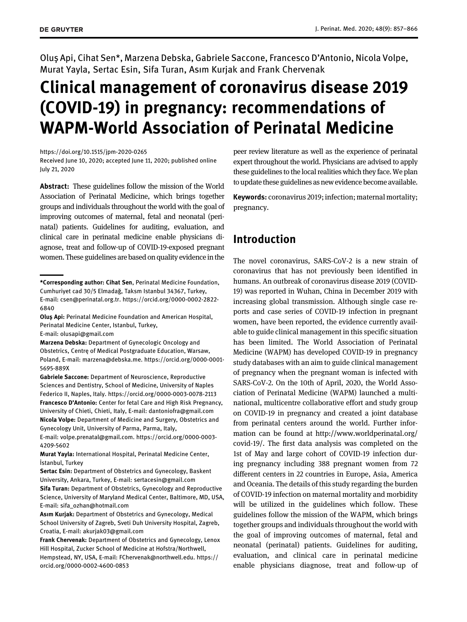Oluş Api, Cihat Sen\*, Marzena Debska, Gabriele Saccone, Francesco D'Antonio, Nicola Volpe, Murat Yayla, Sertac Esin, Sifa Turan, Asım Kurjak and Frank Chervenak

# Clinical management of coronavirus disease 2019 (COVID-19) in pregnancy: recommendations of WAPM-World Association of Perinatal Medicine

<https://doi.org/10.1515/jpm-2020-0265> Received June 10, 2020; accepted June 11, 2020; published online July 21, 2020

Abstract: These guidelines follow the mission of the World Association of Perinatal Medicine, which brings together groups and individuals throughout the world with the goal of improving outcomes of maternal, fetal and neonatal (perinatal) patients. Guidelines for auditing, evaluation, and clinical care in perinatal medicine enable physicians diagnose, treat and follow-up of COVID-19-exposed pregnant women. These guidelines are based on quality evidence in the

Marzena Debska: Department of Gynecologic Oncology and Obstetrics, Centrę of Medical Postgraduate Education, Warsaw, Poland, E-mail: [marzena@debska.me.](mailto:marzena@debska.me) [https://orcid.org/0000-0001-](https://orcid.org/0000-0001-5695-889X) [5695-889X](https://orcid.org/0000-0001-5695-889X)

Gabriele Saccone: Department of Neuroscience, Reproductive Sciences and Dentistry, School of Medicine, University of Naples Federico II, Naples, Italy.<https://orcid.org/0000-0003-0078-2113> Francesco D'Antonio: Center for fetal Care and High Risk Pregnancy, University of Chieti, Chieti, Italy, E-mail: [dantoniofra@gmail.com](mailto:dantoniofra@gmail.com) Nicola Volpe: Department of Medicine and Surgery, Obstetrics and Gynecology Unit, University of Parma, Parma, Italy,

E-mail: [volpe.prenatal@gmail.com.](mailto:volpe.prenatal@gmail.com) [https://orcid.org/0000-0003-](https://orcid.org/0000-0003-4209-5602) [4209-5602](https://orcid.org/0000-0003-4209-5602)

Murat Yayla: International Hospital, Perinatal Medicine Center, İstanbul, Turkey

Sertac Esin: Department of Obstetrics and Gynecology, Baskent University, Ankara, Turkey, E-mail: [sertacesin@gmail.com](mailto:sertacesin@gmail.com) Sifa Turan: Department of Obstetrics, Gynecology and Reproductive Science, University of Maryland Medical Center, Baltimore, MD, USA, E-mail: [sifa\\_ozhan@hotmail.com](mailto:sifa_ozhan@hotmail.com)

Asım Kurjak: Department of Obstetrics and Gynecology, Medical School University of Zagreb, Sveti Duh University Hospital, Zagreb, Croatia, E-mail: [akurjak03@gmail.com](mailto:akurjak03@gmail.com)

Frank Chervenak: Department of Obstetrics and Gynecology, Lenox Hill Hospital, Zucker School of Medicine at Hofstra/Northwell, Hempstead, NY, USA, E-mail: [FChervenak@northwell.edu.](mailto:FChervenak@northwell.edu) [https://](https://orcid.org/0000-0002-4600-0853) [orcid.org/0000-0002-4600-0853](https://orcid.org/0000-0002-4600-0853)

peer review literature as well as the experience of perinatal expert throughout the world. Physicians are advised to apply these guidelines to the local realities which they face. We plan to update these guidelines as new evidence become available.

Keywords: coronavirus 2019; infection; maternal mortality; pregnancy.

# Introduction

The novel coronavirus, SARS-CoV-2 is a new strain of coronavirus that has not previously been identified in humans. An outbreak of coronavirus disease 2019 (COVID-19) was reported in Wuhan, China in December 2019 with increasing global transmission. Although single case reports and case series of COVID-19 infection in pregnant women, have been reported, the evidence currently available to guide clinical management in this specific situation has been limited. The World Association of Perinatal Medicine (WAPM) has developed COVID-19 in pregnancy study databases with an aim to guide clinical management of pregnancy when the pregnant woman is infected with SARS-CoV-2. On the 10th of April, 2020, the World Association of Perinatal Medicine (WAPM) launched a multinational, multicentre collaborative effort and study group on COVID-19 in pregnancy and created a joint database from perinatal centers around the world. Further information can be found at [http://www.worldperinatal.org/](http://www.worldperinatal.org/covid-19/) [covid-19/](http://www.worldperinatal.org/covid-19/). The first data analysis was completed on the 1st of May and large cohort of COVID-19 infection during pregnancy including 388 pregnant women from 72 different centers in 22 countries in Europe, Asia, America and Oceania. The details of this study regarding the burden of COVID-19 infection on maternal mortality and morbidity will be utilized in the guidelines which follow. These guidelines follow the mission of the WAPM, which brings together groups and individuals throughout the world with the goal of improving outcomes of maternal, fetal and neonatal (perinatal) patients. Guidelines for auditing, evaluation, and clinical care in perinatal medicine enable physicians diagnose, treat and follow-up of

<sup>\*</sup>Corresponding author: Cihat Sen, Perinatal Medicine Foundation, Cumhuriyet cad 30/5 Elmadağ, Taksm Istanbul 34367, Turkey, E-mail: [csen@perinatal.org.tr](mailto:csen@perinatal.org.tr). [https://orcid.org/0000-0002-2822-](https://orcid.org/0000-0002-2822-6840) [6840](https://orcid.org/0000-0002-2822-6840)

Oluş Api: Perinatal Medicine Foundation and American Hospital, Perinatal Medicine Center, Istanbul, Turkey, E-mail: [olusapi@gmail.com](mailto:olusapi@gmail.com)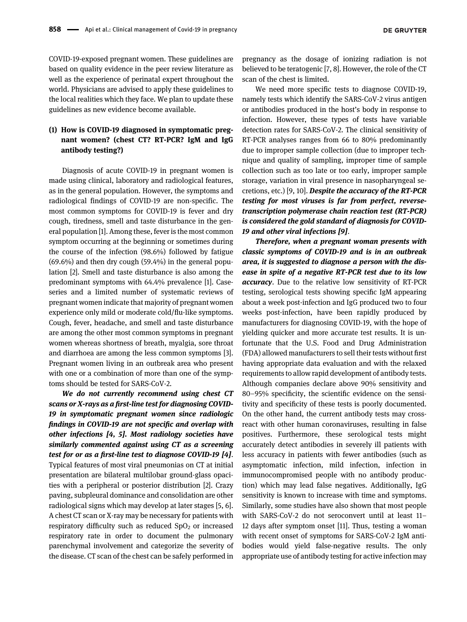COVID-19-exposed pregnant women. These guidelines are based on quality evidence in the peer review literature as well as the experience of perinatal expert throughout the world. Physicians are advised to apply these guidelines to the local realities which they face. We plan to update these guidelines as new evidence become available.

# (1) How is COVID-19 diagnosed in symptomatic pregnant women? (chest CT? RT-PCR? IgM and IgG antibody testing?)

Diagnosis of acute COVID-19 in pregnant women is made using clinical, laboratory and radiological features, as in the general population. However, the symptoms and radiological findings of COVID-19 are non-specific. The most common symptoms for COVID-19 is fever and dry cough, tiredness, smell and taste disturbance in the general population [[1](#page-7-0)]. Among these, fever is the most common symptom occurring at the beginning or sometimes during the course of the infection (98.6%) followed by fatigue (69.6%) and then dry cough (59.4%) in the general population [\[2](#page-8-0)]. Smell and taste disturbance is also among the predominant symptoms with 64.4% prevalence [[1](#page-7-0)]. Caseseries and a limited number of systematic reviews of pregnant women indicate that majority of pregnant women experience only mild or moderate cold/flu-like symptoms. Cough, fever, headache, and smell and taste disturbance are among the other most common symptoms in pregnant women whereas shortness of breath, myalgia, sore throat and diarrhoea are among the less common symptoms [[3](#page-8-1)]. Pregnant women living in an outbreak area who present with one or a combination of more than one of the symptoms should be tested for SARS-CoV-2.

We do not currently recommend using chest CT scans or X-rays as a first-line test for diagnosing COVID-19 in symptomatic pregnant women since radiologic findings in COVID-19 are not specific and overlap with other infections [[4, 5\]](#page-8-2). Most radiology societies have similarly commented against using CT as a screening test for or as a first-line test to diagnose COVID-19 [\[4\]](#page-8-2). Typical features of most viral pneumonias on CT at initial presentation are bilateral multilobar ground-glass opacities with a peripheral or posterior distribution [[2](#page-8-0)]. Crazy paving, subpleural dominance and consolidation are other radiological signs which may develop at later stages [\[5, 6](#page-8-3)]. A chest CT scan or X-ray may be necessary for patients with respiratory difficulty such as reduced  $SpO<sub>2</sub>$  or increased respiratory rate in order to document the pulmonary parenchymal involvement and categorize the severity of the disease. CT scan of the chest can be safely performed in

pregnancy as the dosage of ionizing radiation is not believed to be teratogenic [\[7, 8](#page-8-4)]. However, the role of the CT scan of the chest is limited.

We need more specific tests to diagnose COVID-19, namely tests which identify the SARS-CoV-2 virus antigen or antibodies produced in the host's body in response to infection. However, these types of tests have variable detection rates for SARS-CoV-2. The clinical sensitivity of RT-PCR analyses ranges from 66 to 80% predominantly due to improper sample collection (due to improper technique and quality of sampling, improper time of sample collection such as too late or too early, improper sample storage, variation in viral presence in nasopharyngeal secretions, etc.) [[9, 10\]](#page-8-5). Despite the accuracy of the RT-PCR testing for most viruses is far from perfect, reversetranscription polymerase chain reaction test (RT-PCR) is considered the gold standard of diagnosis for COVID-19 and other viral infections [[9](#page-8-5)].

Therefore, when a pregnant woman presents with classic symptoms of COVID-19 and is in an outbreak area, it is suggested to diagnose a person with the disease in spite of a negative RT-PCR test due to its low accuracy. Due to the relative low sensitivity of RT-PCR testing, serological tests showing specific IgM appearing about a week post-infection and IgG produced two to four weeks post-infection, have been rapidly produced by manufacturers for diagnosing COVID-19, with the hope of yielding quicker and more accurate test results. It is unfortunate that the U.S. Food and Drug Administration (FDA) allowed manufacturers to sell their tests without first having appropriate data evaluation and with the relaxed requirements to allow rapid development of antibody tests. Although companies declare above 90% sensitivity and 80–95% specificity, the scientific evidence on the sensitivity and specificity of these tests is poorly documented. On the other hand, the current antibody tests may crossreact with other human coronaviruses, resulting in false positives. Furthermore, these serological tests might accurately detect antibodies in severely ill patients with less accuracy in patients with fewer antibodies (such as asymptomatic infection, mild infection, infection in immunocompromised people with no antibody production) which may lead false negatives. Additionally, IgG sensitivity is known to increase with time and symptoms. Similarly, some studies have also shown that most people with SARS-CoV-2 do not seroconvert until at least 11– 12 days after symptom onset [\[11\]](#page-8-6). Thus, testing a woman with recent onset of symptoms for SARS-CoV-2 IgM antibodies would yield false-negative results. The only appropriate use of antibody testing for active infection may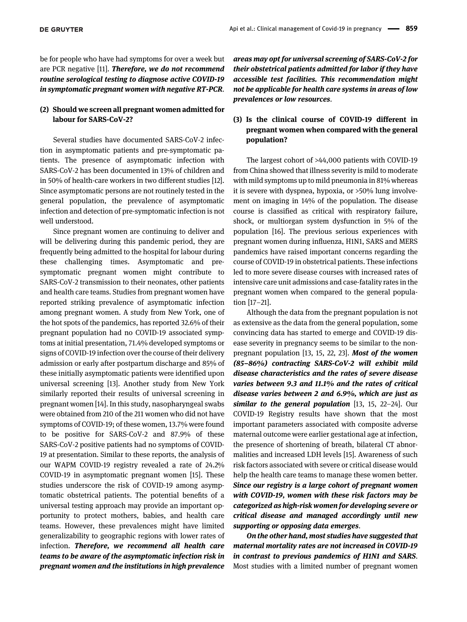be for people who have had symptoms for over a week but are PCR negative [[11](#page-8-6)]. Therefore, we do not recommend routine serological testing to diagnose active COVID-19 in symptomatic pregnant women with negative RT-PCR.

### (2) Should we screen all pregnant women admitted for labour for SARS-CoV-2?

Several studies have documented SARS-CoV-2 infection in asymptomatic patients and pre-symptomatic patients. The presence of asymptomatic infection with SARS-CoV-2 has been documented in 13% of children and in 50% of health-care workers in two different studies [[12\]](#page-8-7). Since asymptomatic persons are not routinely tested in the general population, the prevalence of asymptomatic infection and detection of pre-symptomatic infection is not well understood.

Since pregnant women are continuing to deliver and will be delivering during this pandemic period, they are frequently being admitted to the hospital for labour during these challenging times. Asymptomatic and presymptomatic pregnant women might contribute to SARS-CoV-2 transmission to their neonates, other patients and health care teams. Studies from pregnant women have reported striking prevalence of asymptomatic infection among pregnant women. A study from New York, one of the hot spots of the pandemics, has reported 32.6% of their pregnant population had no COVID-19 associated symptoms at initial presentation, 71.4% developed symptoms or signs of COVID-19 infection over the course of their delivery admission or early after postpartum discharge and 85% of these initially asymptomatic patients were identified upon universal screening [\[13\]](#page-8-8). Another study from New York similarly reported their results of universal screening in pregnant women [[14\]](#page-8-9). In this study, nasopharyngeal swabs were obtained from 210 of the 211 women who did not have symptoms of COVID-19; of these women, 13.7% were found to be positive for SARS-CoV-2 and 87.9% of these SARS-CoV-2 positive patients had no symptoms of COVID-19 at presentation. Similar to these reports, the analysis of our WAPM COVID-19 registry revealed a rate of 24.2% COVID-19 in asymptomatic pregnant women [[15](#page-8-10)]. These studies underscore the risk of COVID-19 among asymptomatic obstetrical patients. The potential benefits of a universal testing approach may provide an important opportunity to protect mothers, babies, and health care teams. However, these prevalences might have limited generalizability to geographic regions with lower rates of infection. Therefore, we recommend all health care teams to be aware of the asymptomatic infection risk in pregnant women and the institutions in high prevalence

areas may opt for universal screening of SARS-CoV-2 for their obstetrical patients admitted for labor if they have accessible test facilities. This recommendation might not be applicable for health care systems in areas of low prevalences or low resources.

# (3) Is the clinical course of COVID-19 different in pregnant women when compared with the general population?

The largest cohort of >44,000 patients with COVID-19 from China showed that illness severity is mild to moderate with mild symptoms up to mild pneumonia in 81% whereas it is severe with dyspnea, hypoxia, or >50% lung involvement on imaging in 14% of the population. The disease course is classified as critical with respiratory failure, shock, or multiorgan system dysfunction in 5% of the population [[16\]](#page-8-11). The previous serious experiences with pregnant women during influenza, H1N1, SARS and MERS pandemics have raised important concerns regarding the course of COVID-19 in obstetrical patients. These infections led to more severe disease courses with increased rates of intensive care unit admissions and case-fatality rates in the pregnant women when compared to the general population [17–[21\]](#page-8-12).

Although the data from the pregnant population is not as extensive as the data from the general population, some convincing data has started to emerge and COVID-19 disease severity in pregnancy seems to be similar to the non-pregnant population [[13, 15, 22, 23](#page-8-8)]. Most of the women (85–86%) contracting SARS-CoV-2 will exhibit mild disease characteristics and the rates of severe disease varies between 9.3 and 11.1% and the rates of critical disease varies between 2 and 6.9%, which are just as similar to the general population  $[13, 15, 22-24]$  $[13, 15, 22-24]$  $[13, 15, 22-24]$ . Our COVID-19 Registry results have shown that the most important parameters associated with composite adverse maternal outcome were earlier gestational age at infection, the presence of shortening of breath, bilateral CT abnormalities and increased LDH levels [[15](#page-8-10)]. Awareness of such risk factors associated with severe or critical disease would help the health care teams to manage these women better. Since our registry is a large cohort of pregnant women with COVID-19, women with these risk factors may be categorized as high-risk women for developing severe or critical disease and managed accordingly until new supporting or opposing data emerges.

On the other hand, most studies have suggested that maternal mortality rates are not increased in COVID-19 in contrast to previous pandemics of H1N1 and SARS. Most studies with a limited number of pregnant women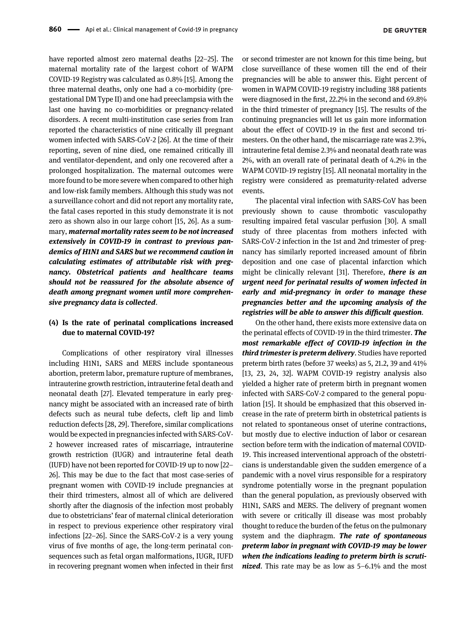have reported almost zero maternal deaths [22–[25](#page-8-13)]. The maternal mortality rate of the largest cohort of WAPM COVID-19 Registry was calculated as 0.8% [[15\]](#page-8-10). Among the three maternal deaths, only one had a co-morbidity (pregestational DM Type II) and one had preeclampsia with the last one having no co-morbidities or pregnancy-related disorders. A recent multi-institution case series from Iran reported the characteristics of nine critically ill pregnant women infected with SARS-CoV-2 [\[26](#page-8-14)]. At the time of their reporting, seven of nine died, one remained critically ill and ventilator-dependent, and only one recovered after a prolonged hospitalization. The maternal outcomes were more found to be more severe when compared to other high and low-risk family members. Although this study was not a surveillance cohort and did not report any mortality rate, the fatal cases reported in this study demonstrate it is not zero as shown also in our large cohort [[15, 26\]](#page-8-10). As a summary, maternal mortality rates seem to be not increased extensively in COVID-19 in contrast to previous pandemics of H1N1 and SARS but we recommend caution in calculating estimates of attributable risk with pregnancy. Obstetrical patients and healthcare teams should not be reassured for the absolute absence of death among pregnant women until more comprehensive pregnancy data is collected.

### (4) Is the rate of perinatal complications increased due to maternal COVID-19?

Complications of other respiratory viral illnesses including H1N1, SARS and MERS include spontaneous abortion, preterm labor, premature rupture of membranes, intrauterine growth restriction, intrauterine fetal death and neonatal death [\[27\]](#page-8-15). Elevated temperature in early pregnancy might be associated with an increased rate of birth defects such as neural tube defects, cleft lip and limb reduction defects [[28, 29\]](#page-8-16). Therefore, similar complications would be expected in pregnancies infected with SARS-CoV-2 however increased rates of miscarriage, intrauterine growth restriction (IUGR) and intrauterine fetal death (IUFD) have not been reported for COVID-19 up to now [[22](#page-8-13)– [26](#page-8-13)]. This may be due to the fact that most case-series of pregnant women with COVID-19 include pregnancies at their third trimesters, almost all of which are delivered shortly after the diagnosis of the infection most probably due to obstetricians' fear of maternal clinical deterioration in respect to previous experience other respiratory viral infections [22–[26](#page-8-13)]. Since the SARS-CoV-2 is a very young virus of five months of age, the long-term perinatal consequences such as fetal organ malformations, IUGR, IUFD in recovering pregnant women when infected in their first or second trimester are not known for this time being, but close surveillance of these women till the end of their pregnancies will be able to answer this. Eight percent of women in WAPM COVID-19 registry including 388 patients were diagnosed in the first, 22.2% in the second and 69.8% in the third trimester of pregnancy [\[15\]](#page-8-10). The results of the continuing pregnancies will let us gain more information about the effect of COVID-19 in the first and second trimesters. On the other hand, the miscarriage rate was 2.3%, intrauterine fetal demise 2.3% and neonatal death rate was 2%, with an overall rate of perinatal death of 4.2% in the WAPM COVID-19 registry [[15](#page-8-10)]. All neonatal mortality in the registry were considered as prematurity-related adverse events.

The placental viral infection with SARS-CoV has been previously shown to cause thrombotic vasculopathy resulting impaired fetal vascular perfusion [\[30](#page-8-17)]. A small study of three placentas from mothers infected with SARS-CoV-2 infection in the 1st and 2nd trimester of pregnancy has similarly reported increased amount of fibrin deposition and one case of placental infarction which might be clinically relevant [\[31\]](#page-8-18). Therefore, there is an urgent need for perinatal results of women infected in early and mid-pregnancy in order to manage these pregnancies better and the upcoming analysis of the registries will be able to answer this difficult question.

On the other hand, there exists more extensive data on the perinatal effects of COVID-19 in the third trimester. **The** most remarkable effect of COVID-19 infection in the third trimester is preterm delivery. Studies have reported preterm birth rates (before 37 weeks) as 5, 21.2, 39 and 41% [[13, 23, 24, 32\]](#page-8-8). WAPM COVID-19 registry analysis also yielded a higher rate of preterm birth in pregnant women infected with SARS-CoV-2 compared to the general population [\[15](#page-8-10)]. It should be emphasized that this observed increase in the rate of preterm birth in obstetrical patients is not related to spontaneous onset of uterine contractions, but mostly due to elective induction of labor or cesarean section before term with the indication of maternal COVID-19. This increased interventional approach of the obstetricians is understandable given the sudden emergence of a pandemic with a novel virus responsible for a respiratory syndrome potentially worse in the pregnant population than the general population, as previously observed with H1N1, SARS and MERS. The delivery of pregnant women with severe or critically ill disease was most probably thought to reduce the burden of the fetus on the pulmonary system and the diaphragm. The rate of spontaneous preterm labor in pregnant with COVID-19 may be lower when the indications leading to preterm birth is scruti*nized*. This rate may be as low as  $5-6.1\%$  and the most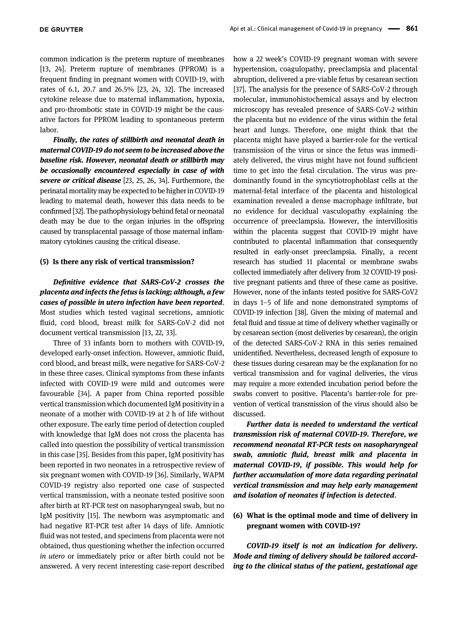common indication is the preterm rupture of membranes [[13, 24](#page-8-8)]. Preterm rupture of membranes (PPROM) is a frequent finding in pregnant women with COVID-19, with rates of 6.1, 20.7 and 26.5% [[23, 24, 32](#page-8-19)]. The increased cytokine release due to maternal inflammation, hypoxia, and pro-thrombotic state in COVID-19 might be the causative factors for PPROM leading to spontaneous preterm labor.

Finally, the rates of stillbirth and neonatal death in maternal COVID-19 do not seem to be increased above the baseline risk. However, neonatal death or stillbirth may be occasionally encountered especially in case of with severe or critical disease [\[23, 25, 26, 34](#page-8-19)]. Furthermore, the perinatal mortality may be expected to be higherin COVID-19 leading to maternal death, however this data needs to be confirmed [\[32](#page-8-20)]. The pathophysiology behind fetal or neonatal death may be due to the organ injuries in the offspring caused by transplacental passage of those maternal inflammatory cytokines causing the critical disease.

#### (5) Is there any risk of vertical transmission?

Definitive evidence that SARS-CoV-2 crosses the placenta and infects the fetus is lacking; although, a few cases of possible in utero infection have been reported. Most studies which tested vaginal secretions, amniotic fluid, cord blood, breast milk for SARS-CoV-2 did not document vertical transmission [\[13, 22, 33](#page-8-8)].

Three of 33 infants born to mothers with COVID-19, developed early-onset infection. However, amniotic fluid, cord blood, and breast milk, were negative for SARS-CoV-2 in these three cases. Clinical symptoms from these infants infected with COVID-19 were mild and outcomes were favourable [\[34\]](#page-9-0). A paper from China reported possible vertical transmission which documented IgM positivity in a neonate of a mother with COVID-19 at 2 h of life without other exposure. The early time period of detection coupled with knowledge that IgM does not cross the placenta has called into question the possibility of vertical transmission in this case [\[35](#page-9-1)]. Besides from this paper, IgM positivity has been reported in two neonates in a retrospective review of six pregnant women with COVID-19 [\[36\]](#page-9-2). Similarly, WAPM COVID-19 registry also reported one case of suspected vertical transmission, with a neonate tested positive soon after birth at RT-PCR test on nasopharyngeal swab, but no IgM positivity [\[15\]](#page-8-10). The newborn was asymptomatic and had negative RT-PCR test after 14 days of life. Amniotic fluid was not tested, and specimens from placenta were not obtained, thus questioning whether the infection occurred in utero or immediately prior or after birth could not be answered. A very recent interesting case-report described

how a 22 week's COVID-19 pregnant woman with severe hypertension, coagulopathy, preeclampsia and placental abruption, delivered a pre-viable fetus by cesarean section [\[37](#page-9-3)]. The analysis for the presence of SARS-CoV-2 through molecular, immunohistochemical assays and by electron microscopy has revealed presence of SARS-CoV-2 within the placenta but no evidence of the virus within the fetal heart and lungs. Therefore, one might think that the placenta might have played a barrier-role for the vertical transmission of the virus or since the fetus was immediately delivered, the virus might have not found sufficient time to get into the fetal circulation. The virus was predominantly found in the syncytiotrophoblast cells at the maternal-fetal interface of the placenta and histological examination revealed a dense macrophage infiltrate, but no evidence for decidual vasculopathy explaining the occurrence of preeclampsia. However, the intervillositis within the placenta suggest that COVID-19 might have contributed to placental inflammation that consequently resulted in early-onset preeclampsia. Finally, a recent research has studied 11 placental or membrane swabs collected immediately after delivery from 32 COVID-19 positive pregnant patients and three of these came as positive. However, none of the infants tested positive for SARS-CoV2 in days 1–5 of life and none demonstrated symptoms of COVID-19 infection [\[38](#page-9-4)]. Given the mixing of maternal and fetal fluid and tissue at time of delivery whether vaginally or by cesarean section (most deliveries by cesarean), the origin of the detected SARS-CoV-2 RNA in this series remained unidentified. Nevertheless, decreased length of exposure to these tissues during cesarean may be the explanation for no vertical transmission and for vaginal deliveries, the virus may require a more extended incubation period before the swabs convert to positive. Placenta's barrier-role for prevention of vertical transmission of the virus should also be discussed.

Further data is needed to understand the vertical transmission risk of maternal COVID-19. Therefore, we recommend neonatal RT-PCR tests on nasopharyngeal swab, amniotic fluid, breast milk and placenta in maternal COVID-19, if possible. This would help for further accumulation of more data regarding perinatal vertical transmission and may help early management and isolation of neonates if infection is detected.

## (6) What is the optimal mode and time of delivery in pregnant women with COVID-19?

COVID-19 itself is not an indication for delivery. Mode and timing of delivery should be tailored according to the clinical status of the patient, gestational age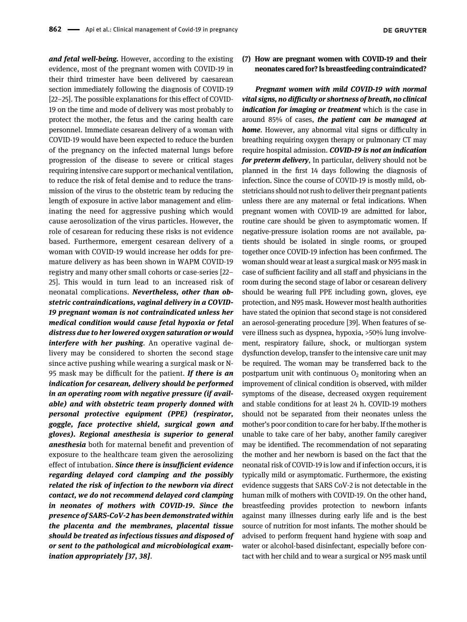and fetal well-being. However, according to the existing evidence, most of the pregnant women with COVID-19 in their third trimester have been delivered by caesarean section immediately following the diagnosis of COVID-19 [\[22](#page-8-13)–25]. The possible explanations for this effect of COVID-19 on the time and mode of delivery was most probably to protect the mother, the fetus and the caring health care personnel. Immediate cesarean delivery of a woman with COVID-19 would have been expected to reduce the burden of the pregnancy on the infected maternal lungs before progression of the disease to severe or critical stages requiring intensive care support or mechanical ventilation, to reduce the risk of fetal demise and to reduce the transmission of the virus to the obstetric team by reducing the length of exposure in active labor management and eliminating the need for aggressive pushing which would cause aerosolization of the virus particles. However, the role of cesarean for reducing these risks is not evidence based. Furthermore, emergent cesarean delivery of a woman with COVID-19 would increase her odds for premature delivery as has been shown in WAPM COVID-19 registry and many other small cohorts or case-series [[22](#page-8-13)– [25](#page-8-13)]. This would in turn lead to an increased risk of neonatal complications. Nevertheless, other than obstetric contraindications, vaginal delivery in a COVID-19 pregnant woman is not contraindicated unless her medical condition would cause fetal hypoxia or fetal distress due to her lowered oxygen saturation or would interfere with her pushing. An operative vaginal delivery may be considered to shorten the second stage since active pushing while wearing a surgical mask or N-95 mask may be difficult for the patient. If there is an indication for cesarean, delivery should be performed in an operating room with negative pressure (if available) and with obstetric team properly donned with personal protective equipment (PPE) (respirator, goggle, face protective shield, surgical gown and gloves). Regional anesthesia is superior to general anesthesia both for maternal benefit and prevention of exposure to the healthcare team given the aerosolizing effect of intubation. Since there is insufficient evidence regarding delayed cord clamping and the possibly related the risk of infection to the newborn via direct contact, we do not recommend delayed cord clamping in neonates of mothers with COVID-19. Since the presence of SARS-CoV-2 has been demonstrated within the placenta and the membranes, placental tissue should be treated as infectious tissues and disposed of or sent to the pathological and microbiological examination appropriately [\[37, 38](#page-9-3)].

(7) How are pregnant women with COVID-19 and their neonates cared for? Is breastfeeding contraindicated?

Pregnant women with mild COVID-19 with normal vital signs, no difficulty or shortness of breath, no clinical indication for imaging or treatment which is the case in around 85% of cases, the patient can be managed at **home.** However, any abnormal vital signs or difficulty in breathing requiring oxygen therapy or pulmonary CT may require hospital admission. COVID-19 is not an indication for preterm delivery, In particular, delivery should not be planned in the first 14 days following the diagnosis of infection. Since the course of COVID-19 is mostly mild, obstetricians should not rush to deliver their pregnant patients unless there are any maternal or fetal indications. When pregnant women with COVID-19 are admitted for labor, routine care should be given to asymptomatic women. If negative-pressure isolation rooms are not available, patients should be isolated in single rooms, or grouped together once COVID-19 infection has been confirmed. The woman should wear at least a surgical mask or N95 mask in case of sufficient facility and all staff and physicians in the room during the second stage of labor or cesarean delivery should be wearing full PPE including gown, gloves, eye protection, and N95 mask. However most health authorities have stated the opinion that second stage is not considered an aerosol-generating procedure [[39](#page-9-5)]. When features of severe illness such as dyspnea, hypoxia, >50% lung involvement, respiratory failure, shock, or multiorgan system dysfunction develop, transfer to the intensive care unit may be required. The woman may be transferred back to the postpartum unit with continuous  $O_2$  monitoring when an improvement of clinical condition is observed, with milder symptoms of the disease, decreased oxygen requirement and stable conditions for at least 24 h. COVID-19 mothers should not be separated from their neonates unless the mother's poor condition to care for her baby. If the mother is unable to take care of her baby, another family caregiver may be identified. The recommendation of not separating the mother and her newborn is based on the fact that the neonatal risk of COVID-19 is low and if infection occurs, it is typically mild or asymptomatic. Furthermore, the existing evidence suggests that SARS CoV-2 is not detectable in the human milk of mothers with COVID-19. On the other hand, breastfeeding provides protection to newborn infants against many illnesses during early life and is the best source of nutrition for most infants. The mother should be advised to perform frequent hand hygiene with soap and water or alcohol-based disinfectant, especially before contact with her child and to wear a surgical or N95 mask until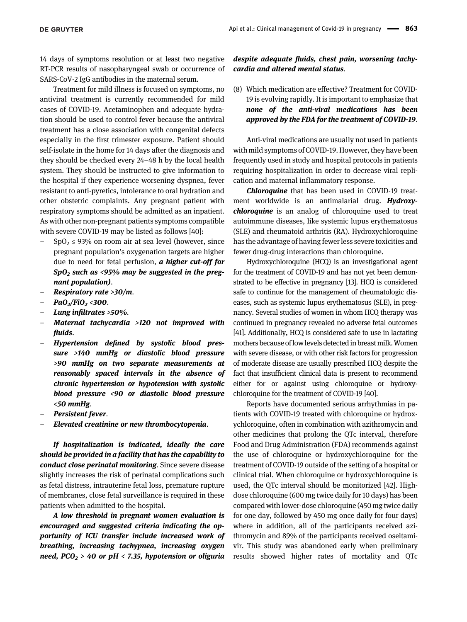14 days of symptoms resolution or at least two negative RT-PCR results of nasopharyngeal swab or occurrence of SARS-CoV-2 IgG antibodies in the maternal serum.

Treatment for mild illness is focused on symptoms, no antiviral treatment is currently recommended for mild cases of COVID-19. Acetaminophen and adequate hydration should be used to control fever because the antiviral treatment has a close association with congenital defects especially in the first trimester exposure. Patient should self-isolate in the home for 14 days after the diagnosis and they should be checked every 24–48 h by the local health system. They should be instructed to give information to the hospital if they experience worsening dyspnea, fever resistant to anti-pyretics, intolerance to oral hydration and other obstetric complaints. Any pregnant patient with respiratory symptoms should be admitted as an inpatient. As with other non-pregnant patients symptoms compatible with severe COVID-19 may be listed as follows [[40](#page-9-6)]:

- $SpO<sub>2</sub> \leq 93\%$  on room air at sea level (however, since pregnant population's oxygenation targets are higher due to need for fetal perfusion,  $a$  higher cut-off for  $Sp0<sub>2</sub>$  such as <95% may be suggested in the pregnant population).
- Respiratory rate >30/m.
- $PaO_2/FiO_2$  <300.
- Lung infiltrates >50%.
- Maternal tachycardia  $>120$  not improved with fluids.
- Hypertension defined by systolic blood pressure >140 mmHg or diastolic blood pressure >90 mmHg on two separate measurements at reasonably spaced intervals in the absence of chronic hypertension or hypotension with systolic blood pressure <90 or diastolic blood pressure <50 mmHg.
- Persistent fever.
- Elevated creatinine or new thrombocytopenia.

If hospitalization is indicated, ideally the care should be provided in a facility that has the capability to conduct close perinatal monitoring. Since severe disease slightly increases the risk of perinatal complications such as fetal distress, intrauterine fetal loss, premature rupture of membranes, close fetal surveillance is required in these patients when admitted to the hospital.

A low threshold in pregnant women evaluation is encouraged and suggested criteria indicating the opportunity of ICU transfer include increased work of breathing, increasing tachypnea, increasing oxygen need,  $PCO<sub>2</sub> > 40$  or pH < 7.35, hypotension or oliguria

### despite adequate fluids, chest pain, worsening tachycardia and altered mental status.

(8) Which medication are effective? Treatment for COVID-19 is evolving rapidly. It is important to emphasize that none of the anti-viral medications has been approved by the FDA for the treatment of COVID-19.

Anti-viral medications are usually not used in patients with mild symptoms of COVID-19. However, they have been frequently used in study and hospital protocols in patients requiring hospitalization in order to decrease viral replication and maternal inflammatory response.

Chloroquine that has been used in COVID-19 treatment worldwide is an antimalarial drug. **Hydroxy**chloroquine is an analog of chloroquine used to treat autoimmune diseases, like systemic lupus erythematosus (SLE) and rheumatoid arthritis (RA). Hydroxychloroquine has the advantage of having fewer less severe toxicities and fewer drug-drug interactions than chloroquine.

Hydroxychloroquine (HCQ) is an investigational agent for the treatment of COVID-19 and has not yet been demonstrated to be effective in pregnancy [\[13\]](#page-8-8). HCQ is considered safe to continue for the management of rheumatologic diseases, such as systemic lupus erythematosus (SLE), in pregnancy. Several studies of women in whom HCQ therapy was continued in pregnancy revealed no adverse fetal outcomes [\[41\]](#page-9-7). Additionally, HCQ is considered safe to use in lactating mothers because of low levels detected in breast milk. Women with severe disease, or with other risk factors for progression of moderate disease are usually prescribed HCQ despite the fact that insufficient clinical data is present to recommend either for or against using chloroquine or hydroxychloroquine for the treatment of COVID-19 [\[40](#page-9-6)].

Reports have documented serious arrhythmias in patients with COVID-19 treated with chloroquine or hydroxychloroquine, often in combination with azithromycin and other medicines that prolong the QTc interval, therefore Food and Drug Administration (FDA) recommends against the use of chloroquine or hydroxychloroquine for the treatment of COVID-19 outside of the setting of a hospital or clinical trial. When chloroquine or hydroxychloroquine is used, the QTc interval should be monitorized [\[42\]](#page-9-8). Highdose chloroquine (600 mg twice daily for 10 days) has been compared with lower-dose chloroquine (450 mg twice daily for one day, followed by 450 mg once daily for four days) where in addition, all of the participants received azithromycin and 89% of the participants received oseltamivir. This study was abandoned early when preliminary results showed higher rates of mortality and QTc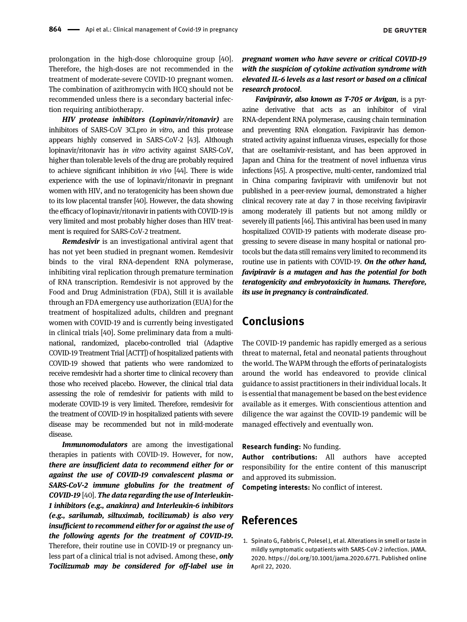prolongation in the high-dose chloroquine group [[40](#page-9-6)]. Therefore, the high-doses are not recommended in the treatment of moderate-severe COVID-10 pregnant women. The combination of azithromycin with HCQ should not be recommended unless there is a secondary bacterial infection requiring antibiotherapy.

HIV protease inhibitors (Lopinavir/ritonavir) are inhibitors of SARS-CoV 3CLpro in vitro, and this protease appears highly conserved in SARS-CoV-2 [\[43\]](#page-9-9). Although lopinavir/ritonavir has in vitro activity against SARS-CoV, higher than tolerable levels of the drug are probably required to achieve significant inhibition in vivo [\[44\]](#page-9-10). There is wide experience with the use of lopinavir/ritonavir in pregnant women with HIV, and no teratogenicity has been shown due to its low placental transfer [\[40\]](#page-9-6). However, the data showing the efficacy of lopinavir/ritonavir in patients with COVID-19 is very limited and most probably higher doses than HIV treatment is required for SARS-CoV-2 treatment.

**Remdesivir** is an investigational antiviral agent that has not yet been studied in pregnant women. Remdesivir binds to the viral RNA-dependent RNA polymerase, inhibiting viral replication through premature termination of RNA transcription. Remdesivir is not approved by the Food and Drug Administration (FDA), Still it is available through an FDA emergency use authorization (EUA) for the treatment of hospitalized adults, children and pregnant women with COVID-19 and is currently being investigated in clinical trials [\[40\]](#page-9-6). Some preliminary data from a multinational, randomized, placebo-controlled trial (Adaptive COVID-19 Treatment Trial [ACTT]) of hospitalized patients with COVID-19 showed that patients who were randomized to receive remdesivir had a shorter time to clinical recovery than those who received placebo. However, the clinical trial data assessing the role of remdesivir for patients with mild to moderate COVID-19 is very limited. Therefore, remdesivir for the treatment of COVID-19 in hospitalized patients with severe disease may be recommended but not in mild-moderate disease.

Immunomodulators are among the investigational therapies in patients with COVID-19. However, for now, there are insufficient data to recommend either for or against the use of COVID-19 convalescent plasma or SARS-CoV-2 immune globulins for the treatment of COVID-19 [\[40\]](#page-9-6). The data regarding the use of Interleukin-1 inhibitors (e.g., anakinra) and Interleukin-6 inhibitors (e.g., sarilumab, siltuximab, tocilizumab) is also very insufficient to recommend either for or against the use of the following agents for the treatment of COVID-19. Therefore, their routine use in COVID-19 or pregnancy unless part of a clinical trial is not advised. Among these, only Tocilizumab may be considered for off-label use in

pregnant women who have severe or critical COVID-19 with the suspicion of cytokine activation syndrome with elevated IL-6 levels as a last resort or based on a clinical research protocol.

Favipiravir, also known as T-705 or Avigan, is a pyrazine derivative that acts as an inhibitor of viral RNA-dependent RNA polymerase, causing chain termination and preventing RNA elongation. Favipiravir has demonstrated activity against influenza viruses, especially for those that are oseltamivir-resistant, and has been approved in Japan and China for the treatment of novel influenza virus infections [\[45](#page-9-11)]. A prospective, multi-center, randomized trial in China comparing favipiravir with umifenovir but not published in a peer-review journal, demonstrated a higher clinical recovery rate at day 7 in those receiving favipiravir among moderately ill patients but not among mildly or severely ill patients [\[46\]](#page-9-12). This antiviral has been used in many hospitalized COVID-19 patients with moderate disease progressing to severe disease in many hospital or national protocols but the data still remains very limited to recommend its routine use in patients with COVID-19. On the other hand, favipiravir is a mutagen and has the potential for both teratogenicity and embryotoxicity in humans. Therefore, its use in pregnancy is contraindicated.

# Conclusions

The COVID-19 pandemic has rapidly emerged as a serious threat to maternal, fetal and neonatal patients throughout the world. The WAPM through the efforts of perinatalogists around the world has endeavored to provide clinical guidance to assist practitioners in their individual locals. It is essential that management be based on the best evidence available as it emerges. With conscientious attention and diligence the war against the COVID-19 pandemic will be managed effectively and eventually won.

Research funding: No funding.

Author contributions: All authors have accepted responsibility for the entire content of this manuscript and approved its submission.

Competing interests: No conflict of interest.

# References

<span id="page-7-0"></span>1. Spinato G, Fabbris C, Polesel J, et al. Alterations in smell or taste in mildly symptomatic outpatients with SARS-CoV-2 infection. JAMA. 2020.<https://doi.org/10.1001/jama.2020.6771>. Published online April 22, 2020.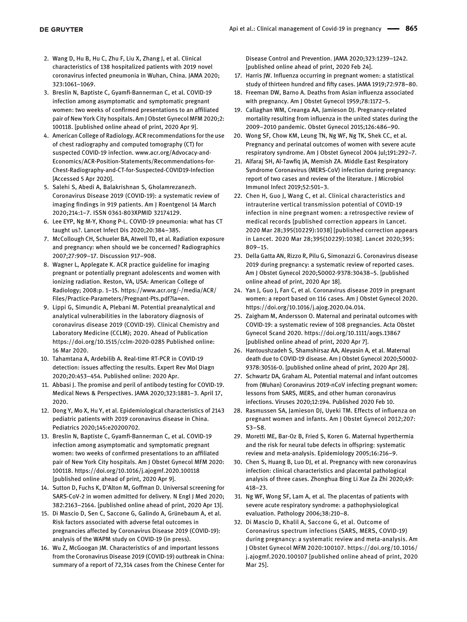- <span id="page-8-0"></span>2. Wang D, Hu B, Hu C, Zhu F, Liu X, Zhang J, et al. Clinical characteristics of 138 hospitalized patients with 2019 novel coronavirus infected pneumonia in Wuhan, China. JAMA 2020; 323:1061–1069.
- <span id="page-8-1"></span>3. Breslin N, Baptiste C, Gyamfi-Bannerman C, et al. COVID-19 infection among asymptomatic and symptomatic pregnant women: two weeks of confirmed presentations to an affiliated pair of New York City hospitals. Am J Obstet Gynecol MFM 2020;2: 100118. [published online ahead of print, 2020 Apr 9].
- <span id="page-8-2"></span>4. American College of Radiology. ACR recommendations for the use of chest radiography and computed tomography (CT) for suspected COVID-19 infection. [www.acr.org/Advocacy-and-](http://www.acr.org/Advocacy-and-Economics/ACR-Position-Statements/Recommendations-for-Chest-Radiography-and-CT-for-Suspected-COVID19-Infection)[Economics/ACR-Position-Statements/Recommendations-for-](http://www.acr.org/Advocacy-and-Economics/ACR-Position-Statements/Recommendations-for-Chest-Radiography-and-CT-for-Suspected-COVID19-Infection)[Chest-Radiography-and-CT-for-Suspected-COVID19-Infection](http://www.acr.org/Advocacy-and-Economics/ACR-Position-Statements/Recommendations-for-Chest-Radiography-and-CT-for-Suspected-COVID19-Infection) [Accessed 5 Apr 2020].
- <span id="page-8-3"></span>5. Salehi S, Abedi A, Balakrishnan S, Gholamrezanezh. Coronavirus Disease 2019 (COVID-19): a systematic review of imaging findings in 919 patients. Am J Roentgenol 14 March 2020;214:1–7. ISSN 0361-803XPMID 32174129.
- 6. Lee EYP, Ng M-Y, Khong P-L. COVID-19 pneumonia: what has CT taught us?. Lancet Infect Dis 2020;20:384–385.
- <span id="page-8-4"></span>7. McCollough CH, Schueler BA, Atwell TD, et al. Radiation exposure and pregnancy: when should we be concerned? Radiographics 2007;27:909–17. Discussion 917–908.
- 8. Wagner L, Applegate K. ACR practice guideline for imaging pregnant or potentially pregnant adolescents and women with ionizing radiation. Reston, VA, USA: American College of Radiology; 2008:p. 1–15. [https://www.acr.org/-/media/ACR/](https://www.acr.org/-/media/ACR/Files/Practice-Parameters/Pregnant-Pts.pdf?la=en) [Files/Practice-Parameters/Pregnant-Pts.pdf?la=en](https://www.acr.org/-/media/ACR/Files/Practice-Parameters/Pregnant-Pts.pdf?la=en).
- <span id="page-8-5"></span>9. Lippi G, Simundic A, Plebani M. Potential preanalytical and analytical vulnerabilities in the laboratory diagnosis of coronavirus disease 2019 (COVID-19). Clinical Chemistry and Laboratory Medicine (CCLM); 2020. Ahead of Publication <https://doi.org/10.1515/cclm-2020-0285> Published online: 16 Mar 2020.
- 10. Tahamtana A, Ardebilib A. Real-time RT-PCR in COVID-19 detection: issues affecting the results. Expert Rev Mol Diagn 2020;20:453–454. Published online: 2020 Apr.
- <span id="page-8-6"></span>11. Abbasi J. The promise and peril of antibody testing for COVID-19. Medical News & Perspectives. JAMA 2020;323:1881–3. April 17, 2020.
- <span id="page-8-7"></span>12. Dong Y, Mo X, Hu Y, et al. Epidemiological characteristics of 2143 pediatric patients with 2019 coronavirus disease in China. Pediatrics 2020;145:e20200702.
- <span id="page-8-8"></span>13. Breslin N, Baptiste C, Gyamfi-Bannerman C, et al. COVID-19 infection among asymptomatic and symptomatic pregnant women: two weeks of confirmed presentations to an affiliated pair of New York City hospitals. Am J Obstet Gynecol MFM 2020: 100118.<https://doi.org/10.1016/j.ajogmf.2020.100118> [published online ahead of print, 2020 Apr 9].
- <span id="page-8-9"></span>14. Sutton D, Fuchs K, D'Alton M, Goffman D. Universal screening for SARS-CoV-2 in women admitted for delivery. N Engl J Med 2020; 382:2163–2164. [published online ahead of print, 2020 Apr 13].
- <span id="page-8-10"></span>15. Di Mascio D, Sen C, Saccone G, Galindo A, Grünebaum A, et al. Risk factors associated with adverse fetal outcomes in pregnancies affected by Coronavirus Disease 2019 (COVID-19): analysis of the WAPM study on COVID-19 (in press).
- <span id="page-8-11"></span>16. Wu Z, McGoogan JM. Characteristics of and important lessons from the Coronavirus Disease 2019 (COVID-19) outbreak in China: summary of a report of 72,314 cases from the Chinese Center for

Disease Control and Prevention. JAMA 2020;323:1239–1242. [published online ahead of print, 2020 Feb 24].

- <span id="page-8-12"></span>17. Harris JW. Influenza occurring in pregnant women: a statistical study of thirteen hundred and fifty cases. JAMA 1919;72:978–80.
- 18. Freeman DW, Barno A. Deaths from Asian influenza associated with pregnancy. Am J Obstet Gynecol 1959;78:1172–5.
- 19. Callaghan WM, Creanga AA, Jamieson DJ. Pregnancy-related mortality resulting from influenza in the united states during the 2009–2010 pandemic. Obstet Gynecol 2015;126:486–90.
- 20. Wong SF, Chow KM, Leung TN, Ng WF, Ng TK, Shek CC, et al. Pregnancy and perinatal outcomes of women with severe acute respiratory syndrome. Am J Obstet Gynecol 2004 Jul;191:292–7.
- 21. Alfaraj SH, Al-Tawfiq JA, Memish ZA. Middle East Respiratory Syndrome Coronavirus (MERS-CoV) infection during pregnancy: report of two cases and review of the literature. J Microbiol Immunol Infect 2019;52:501–3.
- <span id="page-8-13"></span>22. Chen H, Guo J, Wang C, et al. Clinical characteristics and intrauterine vertical transmission potential of COVID-19 infection in nine pregnant women: a retrospective review of medical records [published correction appears in Lancet. 2020 Mar 28;395(10229):1038] [published correction appears in Lancet. 2020 Mar 28;395(10229):1038]. Lancet 2020;395: 809–15.
- <span id="page-8-19"></span>23. Della Gatta AN, Rizzo R, Pilu G, Simonazzi G. Coronavirus disease 2019 during pregnancy: a systematic review of reported cases. Am J Obstet Gynecol 2020;S0002-9378:30438–5. [published online ahead of print, 2020 Apr 18].
- 24. Yan J, Guo J, Fan C, et al. Coronavirus disease 2019 in pregnant women: a report based on 116 cases. Am J Obstet Gynecol 2020. <https://doi.org/10.1016/j.ajog.2020.04.014>.
- 25. Zaigham M, Andersson O. Maternal and perinatal outcomes with COVID-19: a systematic review of 108 pregnancies. Acta Obstet Gynecol Scand 2020.<https://doi.org/10.1111/aogs.13867> [published online ahead of print, 2020 Apr 7].
- <span id="page-8-14"></span>26. Hantoushzadeh S, Shamshirsaz AA, Aleyasin A, et al. Maternal death due to COVID-19 disease. Am J Obstet Gynecol 2020;S0002- 9378:30516-0. [published online ahead of print, 2020 Apr 28].
- <span id="page-8-15"></span>27. Schwartz DA, Graham AL. Potential maternal and infant outcomes from (Wuhan) Coronavirus 2019-nCoV infecting pregnant women: lessons from SARS, MERS, and other human coronavirus infections. Viruses 2020;12:194. Published 2020 Feb 10.
- <span id="page-8-16"></span>28. Rasmussen SA, Jamieson DJ, Uyeki TM. Effects of influenza on pregnant women and infants. Am J Obstet Gynecol 2012;207: S3–S8.
- 29. Moretti ME, Bar-Oz B, Fried S, Koren G. Maternal hyperthermia and the risk for neural tube defects in offspring: systematic review and meta-analysis. Epidemiology 2005;16:216–9.
- <span id="page-8-17"></span>30. Chen S, Huang B, Luo DJ, et al. Pregnancy with new coronavirus infection: clinical characteristics and placental pathological analysis of three cases. Zhonghua Bing Li Xue Za Zhi 2020;49: 418–23.
- <span id="page-8-18"></span>31. Ng WF, Wong SF, Lam A, et al. The placentas of patients with severe acute respiratory syndrome: a pathophysiological evaluation. Pathology 2006;38:210–8.
- <span id="page-8-20"></span>32. Di Mascio D, Khalil A, Saccone G, et al. Outcome of Coronavirus spectrum infections (SARS, MERS, COVID-19) during pregnancy: a systematic review and meta-analysis. Am J Obstet Gynecol MFM 2020:100107. [https://doi.org/10.1016/](https://doi.org/10.1016/j.ajogmf.2020.100107) [j.ajogmf.2020.100107](https://doi.org/10.1016/j.ajogmf.2020.100107) [published online ahead of print, 2020 Mar 25].